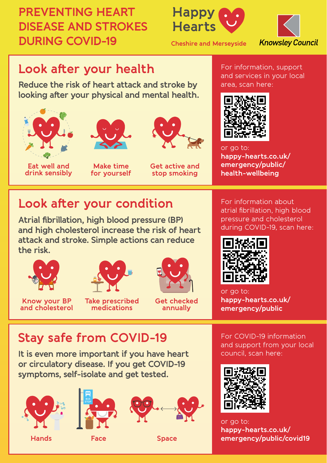## **PREVENTING HEART DISEASE AND STROKES DURING COVID-19**





**Cheshire and Merseyside**

### **Look after your health**

**Reduce the risk of heart attack and stroke by looking after your physical and mental health.**





**Eat well and drink sensibly**

**Make time for yourself**



**Get active and stop smoking**

#### For information, support and services in your local area, scan here:



or go to: **happy-hearts.co.uk/ emergency/public/ health-wellbeing**

## **Look after your condition**

**Atrial fibrillation, high blood pressure (BP) and high cholesterol increase the risk of heart attack and stroke. Simple actions can reduce the risk.**





**Know your BP and cholesterol**

**Take prescribed medications**



**Get checked annually**

# **Stay safe from COVID-19**

**It is even more important if you have heart or circulatory disease. If you get COVID-19 symptoms, self-isolate and get tested.**



**Hands Face**





**Space**

For information about atrial fibrillation, high blood pressure and cholesterol during COVID-19, scan here:



or go to: **happy-hearts.co.uk/ emergency/public**

For COVID-19 information and support from your local council, scan here:



or go to: **happy-hearts.co.uk/ emergency/public/covid19**